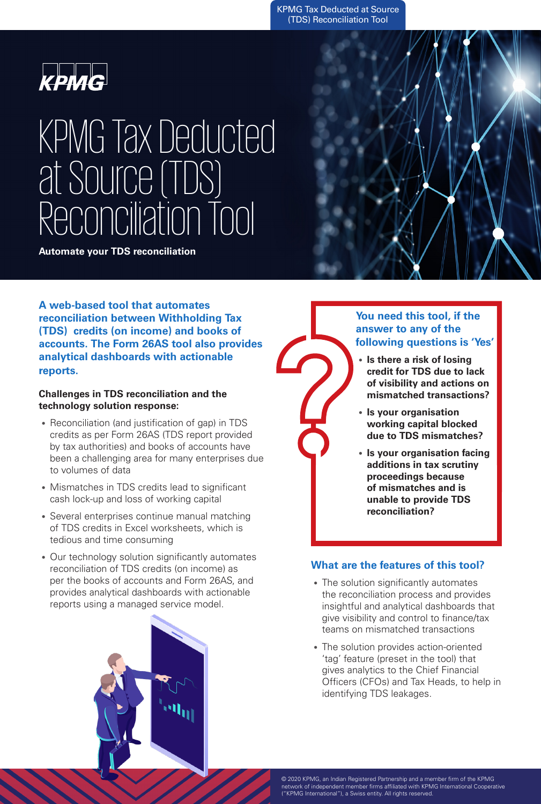KPMG Tax Deducted at Source (TDS) Reconciliation Tool



# KPMG Tax Deducted at Source (TDS) Reconciliation Tool

**Automate your TDS reconciliation**

**A web-based tool that automates reconciliation between Withholding Tax (TDS) credits (on income) and books of accounts. The Form 26AS tool also provides analytical dashboards with actionable reports.**

### **Challenges in TDS reconciliation and the technology solution response:**

- Reconciliation (and justification of gap) in TDS credits as per Form 26AS (TDS report provided by tax authorities) and books of accounts have been a challenging area for many enterprises due to volumes of data
- Mismatches in TDS credits lead to significant cash lock-up and loss of working capital
- Several enterprises continue manual matching of TDS credits in Excel worksheets, which is tedious and time consuming
- Our technology solution significantly automates reconciliation of TDS credits (on income) as per the books of accounts and Form 26AS, and provides analytical dashboards with actionable reports using a managed service model.





### **You need this tool, if the answer to any of the following questions is 'Yes'**

- **Is there a risk of losing credit for TDS due to lack of visibility and actions on mismatched transactions?**
- **Is your organisation working capital blocked due to TDS mismatches?**
- **Is your organisation facing additions in tax scrutiny proceedings because of mismatches and is unable to provide TDS reconciliation?**

# **What are the features of this tool?**

- The solution significantly automates the reconciliation process and provides insightful and analytical dashboards that give visibility and control to finance/tax teams on mismatched transactions
- The solution provides action-oriented 'tag' feature (preset in the tool) that gives analytics to the Chief Financial Officers (CFOs) and Tax Heads, to help in identifying TDS leakages.